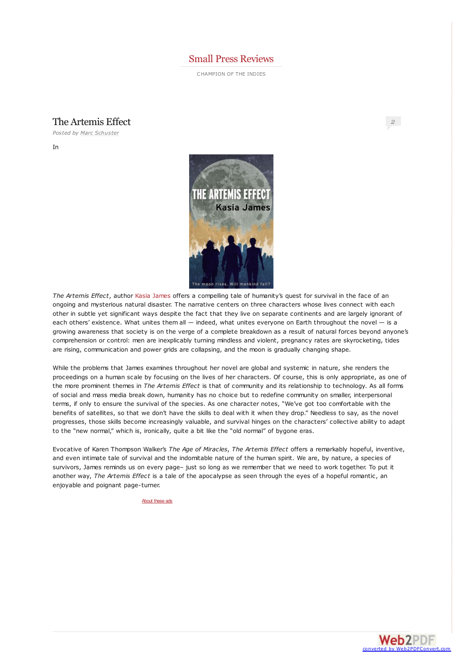### Small Press [Reviews](http://smallpressreviews.wordpress.com/)

CHAMPION OF THE INDIES

## The Artemis Effect

*Posted by Marc [Schuster](http://smallpressreviews.wordpress.com/author/marcschuster/)*

In



*The Artemis Effect*, author Kasia [James](http://kasiajames.wordpress.com/) offers a compelling tale of humanity's quest for survival in the face of an ongoing and mysterious natural disaster. The narrative centers on three characters whose lives connect with each other in subtle yet significant ways despite the fact that they live on separate continents and are largely ignorant of each others' existence. What unites them all — indeed, what unites everyone on Earth throughout the novel — is a growing awareness that society is on the verge of a complete breakdown as a result of natural forces beyond anyone's comprehension or control: men are inexplicably turning mindless and violent, pregnancy rates are skyrocketing, tides are rising, communication and power grids are collapsing, and the moon is gradually changing shape.

While the problems that James examines throughout her novel are global and systemic in nature, she renders the proceedings on a human scale by focusing on the lives of her characters. Of course, this is only appropriate, as one of the more prominent themes in *The Artemis Effect* is that of community and its relationship to technology. As all forms of social and mass media break down, humanity has no choice but to redefine community on smaller, interpersonal terms, if only to ensure the survival of the species. As one character notes, "We've got too comfortable with the benefits of satellites, so that we don't have the skills to deal with it when they drop." Needless to say, as the novel progresses, those skills become increasingly valuable, and survival hinges on the characters' collective ability to adapt to the "new normal," which is, ironically, quite a bit like the "old normal" of bygone eras.

Evocative of Karen Thompson Walker's *The Age of Miracles*, *The Artemis Effect* offers a remarkably hopeful, inventive, and even intimate tale of survival and the indomitable nature of the human spirit. We are, by nature, a species of survivors, James reminds us on every page– just so long as we remember that we need to work together. To put it another way, *The Artemis Effect* is a tale of the apocalypse as seen through the eyes of a hopeful romantic, an enjoyable and poignant page-turner.

[About](http://en.wordpress.com/about-these-ads/) these ads



*[2](#page-1-0)*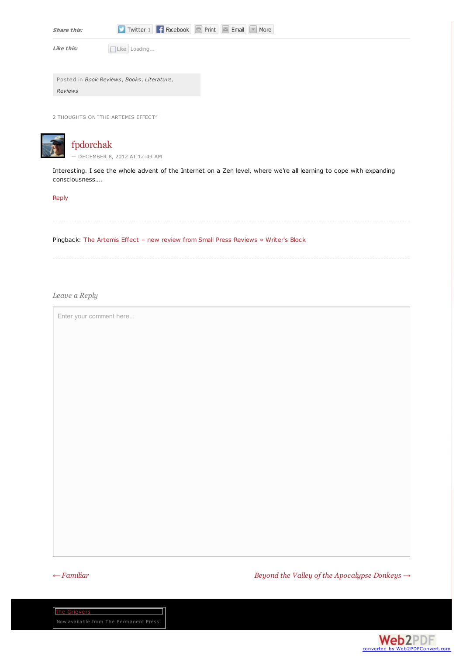| Share this:                                | Twitter 1 Facebook F Print E Email V More |  |
|--------------------------------------------|-------------------------------------------|--|
| Like this:                                 | Like Loading                              |  |
|                                            |                                           |  |
| Posted in Book Reviews, Books, Literature, |                                           |  |
| <b>Reviews</b>                             |                                           |  |
|                                            |                                           |  |
| 2 THOUGHTS ON "THE ARTEMIS EFFECT"         |                                           |  |
|                                            |                                           |  |

<span id="page-1-1"></span><span id="page-1-0"></span>

## [fpdorchak](http://www.fpdorchak.com)

— [DECEMBER](#page-1-1) 8, 2012 AT 12:49 AM

Interesting. I see the whole advent of the Internet on a Zen level, where we're all learning to cope with expanding consciousness….

#### [Reply](http://smallpressreviews.wordpress.com/2012/12/07/the-artemis-effect/?replytocom=882#respond)

Pingback: The Artemis Effect – new review from Small Press [Reviews](http://kasiajames.wordpress.com/2012/12/08/the-artemis-effect-new-review-from-small-press-reviews/) « Writer's Block

*Leave a Reply*

Enter your comment here...

*← [Familiar](http://smallpressreviews.wordpress.com/2012/11/30/familiar/) Beyond the Valley of the [Apocalypse](http://smallpressreviews.wordpress.com/2012/12/14/beyond-the-valley-of-the-apocalypse-donkeys/) Donkeys →*

The Grievers

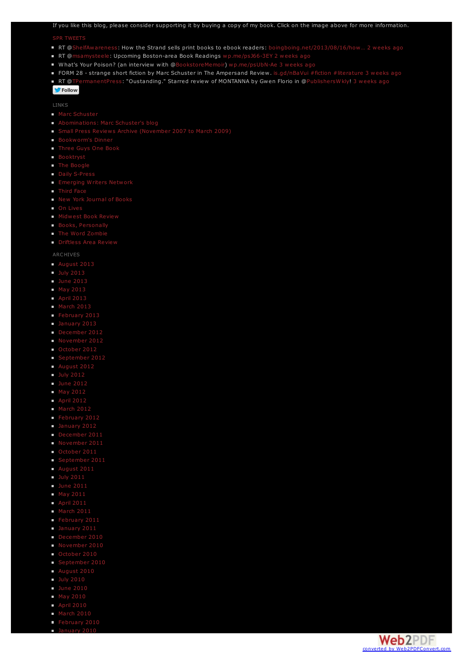# If you like this blog, please consider supporting it by buying a copy of my book. Click on the image above for more information.

#### SPR [TWEETS](http://twitter.com/smpressrev)

- RT @[ShelfAwareness](http://twitter.com/ShelfAwareness): How the Strand sells print books to ebook readers: boingboing.net/2013/08/16/how... 2 [weeks](http://twitter.com/smpressrev/statuses/368464456046489601) ago
- RT @[msamysteele](http://twitter.com/msamysteele): Upcoming Boston-area Book Readings [wp.me/psJ66-3EY](http://wp.me/psJ66-3EY) 2 [weeks](http://twitter.com/smpressrev/statuses/368464096493989888) ago
- What's Your Poison? (an interview with @[BookstoreMemoir](http://twitter.com/BookstoreMemoir)) [wp.me/psUbN-Ae](http://wp.me/psUbN-Ae) 3 [weeks](http://twitter.com/smpressrev/statuses/365937483361419264) ago
- FORM 28 strange short fiction by Marc Schuster in The Ampersand Review. [is.gd/nBaVui](http://is.gd/nBaVui) [#fiction](http://twitter.com/search?q=%23fiction) [#literature](http://twitter.com/search?q=%23literature) 3 [weeks](http://twitter.com/smpressrev/statuses/364785489791815682) ago
- RT @[TPermanentPress](http://twitter.com/TPermanentPress): "Oustanding." Starred review of MONTANNA by Gwen Florio in @[PublishersWkly](http://twitter.com/PublishersWkly)! 3 [weeks](http://twitter.com/smpressrev/statuses/364437036536565760) ago

## **Follow**

LINKS

- **Marc [Schuster](http://www.marcschuster.com/)**
- 
- 
- [Bookworm's](http://bookwormsdinner.blogspot.com/) Dinner
- [Three](http://threeguysonebook.com/) Guys One Book
- [Booktryst](http://www.booktryst.com/)
- **The [Boogle](http://theboogle.wordpress.com/)**
- Daily [S-Press](http://dailyspress.blogspot.com/)
- **[Emerging](http://emergingwriters.typepad.com/emerging_writers_network/) Writers Network**
- **[Third](http://www.thirdface.com/) Face**
- New York [Journal](http://www.nyjournalofbooks.com/) of Books
- **On [Lives](http://onlives.net/home/)**
- **[Midwest](http://www.midwestbookreview.com/) Book Review**
- Books, [Personally](http://bookspersonally.blogspot.com/)
- The Word [Zombie](http://thewordzombie.com/)
- **[Driftless](http://driftlessareareview.com/) Area Review**

ARCHIVES

- [August](http://smallpressreviews.wordpress.com/2013/08/) 2013
- **July [2013](http://smallpressreviews.wordpress.com/2013/07/)**
- **June [2013](http://smallpressreviews.wordpress.com/2013/06/)**
- May [2013](http://smallpressreviews.wordpress.com/2013/05/)
- **April [2013](http://smallpressreviews.wordpress.com/2013/04/)**
- [March](http://smallpressreviews.wordpress.com/2013/03/) 2013
- [February](http://smallpressreviews.wordpress.com/2013/02/) 2013
- **[January](http://smallpressreviews.wordpress.com/2013/01/) 2013**
- [December](http://smallpressreviews.wordpress.com/2012/12/) 2012
- [November](http://smallpressreviews.wordpress.com/2012/11/) 2012
- [October](http://smallpressreviews.wordpress.com/2012/10/) 2012
- [September](http://smallpressreviews.wordpress.com/2012/09/) 2012
- [August](http://smallpressreviews.wordpress.com/2012/08/) 2012
- $July 2012$  $July 2012$
- **June [2012](http://smallpressreviews.wordpress.com/2012/06/)**
- $M$ ay [2012](http://smallpressreviews.wordpress.com/2012/05/)
- $\blacksquare$  April [2012](http://smallpressreviews.wordpress.com/2012/04/)
- [March](http://smallpressreviews.wordpress.com/2012/03/) 2012
- [February](http://smallpressreviews.wordpress.com/2012/02/) 2012
- **[January](http://smallpressreviews.wordpress.com/2012/01/) 2012**
- [December](http://smallpressreviews.wordpress.com/2011/12/) 2011
- [November](http://smallpressreviews.wordpress.com/2011/11/) 2011
- [October](http://smallpressreviews.wordpress.com/2011/10/) 2011
- [September](http://smallpressreviews.wordpress.com/2011/09/) 2011
- [August](http://smallpressreviews.wordpress.com/2011/08/) 2011
- $July 2011$  $July 2011$
- **June [2011](http://smallpressreviews.wordpress.com/2011/06/)**
- May [2011](http://smallpressreviews.wordpress.com/2011/05/)
- April [2011](http://smallpressreviews.wordpress.com/2011/04/)
- $March 2011$  $March 2011$
- [February](http://smallpressreviews.wordpress.com/2011/02/) 2011
- [January](http://smallpressreviews.wordpress.com/2011/01/) 2011
- 
- 
- [October](http://smallpressreviews.wordpress.com/2010/10/) 2010
- [September](http://smallpressreviews.wordpress.com/2010/09/) 2010
- $\blacksquare$  [August](http://smallpressreviews.wordpress.com/2010/08/) 2010
- **July [2010](http://smallpressreviews.wordpress.com/2010/07/)**
- **June [2010](http://smallpressreviews.wordpress.com/2010/06/)**
- May [2010](http://smallpressreviews.wordpress.com/2010/05/)
- $\blacksquare$  April [2010](http://smallpressreviews.wordpress.com/2010/04/)
- [March](http://smallpressreviews.wordpress.com/2010/03/) 2010 [February](http://smallpressreviews.wordpress.com/2010/02/) 2010
- n [January](http://smallpressreviews.wordpress.com/2010/01/) 2010